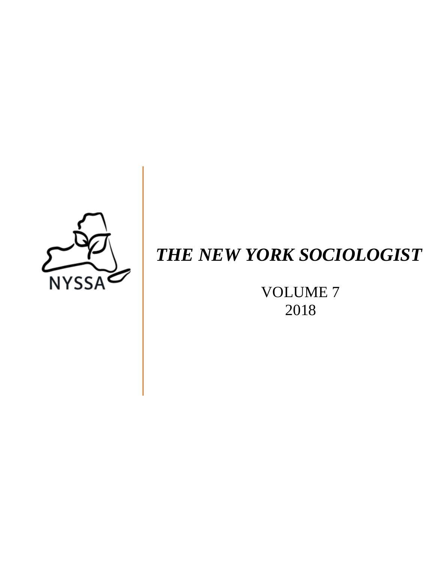

# *THE NEW YORK SOCIOLOGIST*

VOLUME 7 2018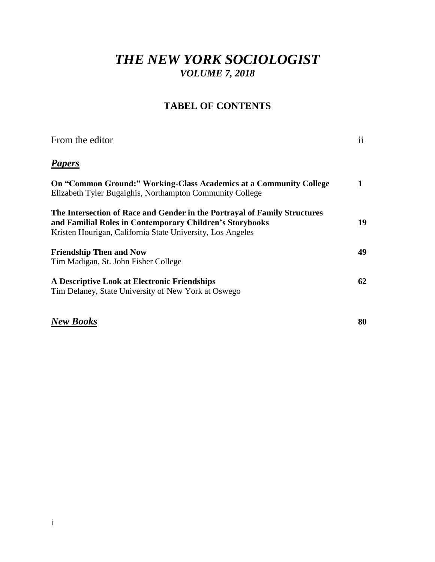# *THE NEW YORK SOCIOLOGIST VOLUME 7, 2018*

## **TABEL OF CONTENTS**

| From the editor                                                                                                                                                                                     | $\mathbf{ii}$ |
|-----------------------------------------------------------------------------------------------------------------------------------------------------------------------------------------------------|---------------|
| <b>Papers</b>                                                                                                                                                                                       |               |
| <b>On "Common Ground:" Working-Class Academics at a Community College</b><br>Elizabeth Tyler Bugaighis, Northampton Community College                                                               |               |
| The Intersection of Race and Gender in the Portrayal of Family Structures<br>and Familial Roles in Contemporary Children's Storybooks<br>Kristen Hourigan, California State University, Los Angeles | 19            |
| <b>Friendship Then and Now</b><br>Tim Madigan, St. John Fisher College                                                                                                                              | 49            |
| A Descriptive Look at Electronic Friendships<br>Tim Delaney, State University of New York at Oswego                                                                                                 | 62            |

# *New Books* **80**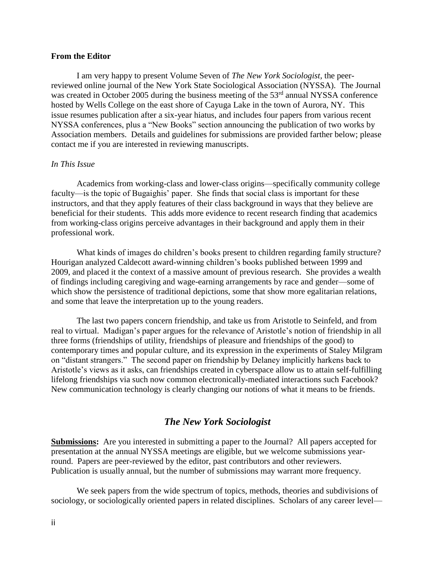#### **From the Editor**

I am very happy to present Volume Seven of *The New York Sociologist,* the peerreviewed online journal of the New York State Sociological Association (NYSSA). The Journal was created in October 2005 during the business meeting of the 53<sup>rd</sup> annual NYSSA conference hosted by Wells College on the east shore of Cayuga Lake in the town of Aurora, NY. This issue resumes publication after a six-year hiatus, and includes four papers from various recent NYSSA conferences, plus a "New Books" section announcing the publication of two works by Association members. Details and guidelines for submissions are provided farther below; please contact me if you are interested in reviewing manuscripts.

#### *In This Issue*

Academics from working-class and lower-class origins—specifically community college faculty—is the topic of Bugaighis' paper. She finds that social class is important for these instructors, and that they apply features of their class background in ways that they believe are beneficial for their students. This adds more evidence to recent research finding that academics from working-class origins perceive advantages in their background and apply them in their professional work.

What kinds of images do children's books present to children regarding family structure? Hourigan analyzed Caldecott award-winning children's books published between 1999 and 2009, and placed it the context of a massive amount of previous research. She provides a wealth of findings including caregiving and wage-earning arrangements by race and gender—some of which show the persistence of traditional depictions, some that show more egalitarian relations, and some that leave the interpretation up to the young readers.

The last two papers concern friendship, and take us from Aristotle to Seinfeld, and from real to virtual. Madigan's paper argues for the relevance of Aristotle's notion of friendship in all three forms (friendships of utility, friendships of pleasure and friendships of the good) to contemporary times and popular culture, and its expression in the experiments of Staley Milgram on "distant strangers." The second paper on friendship by Delaney implicitly harkens back to Aristotle's views as it asks, can friendships created in cyberspace allow us to attain self-fulfilling lifelong friendships via such now common electronically-mediated interactions such Facebook? New communication technology is clearly changing our notions of what it means to be friends.

#### *The New York Sociologist*

**Submissions:** Are you interested in submitting a paper to the Journal? All papers accepted for presentation at the annual NYSSA meetings are eligible, but we welcome submissions yearround. Papers are peer-reviewed by the editor, past contributors and other reviewers. Publication is usually annual, but the number of submissions may warrant more frequency.

We seek papers from the wide spectrum of topics, methods, theories and subdivisions of sociology, or sociologically oriented papers in related disciplines. Scholars of any career level—